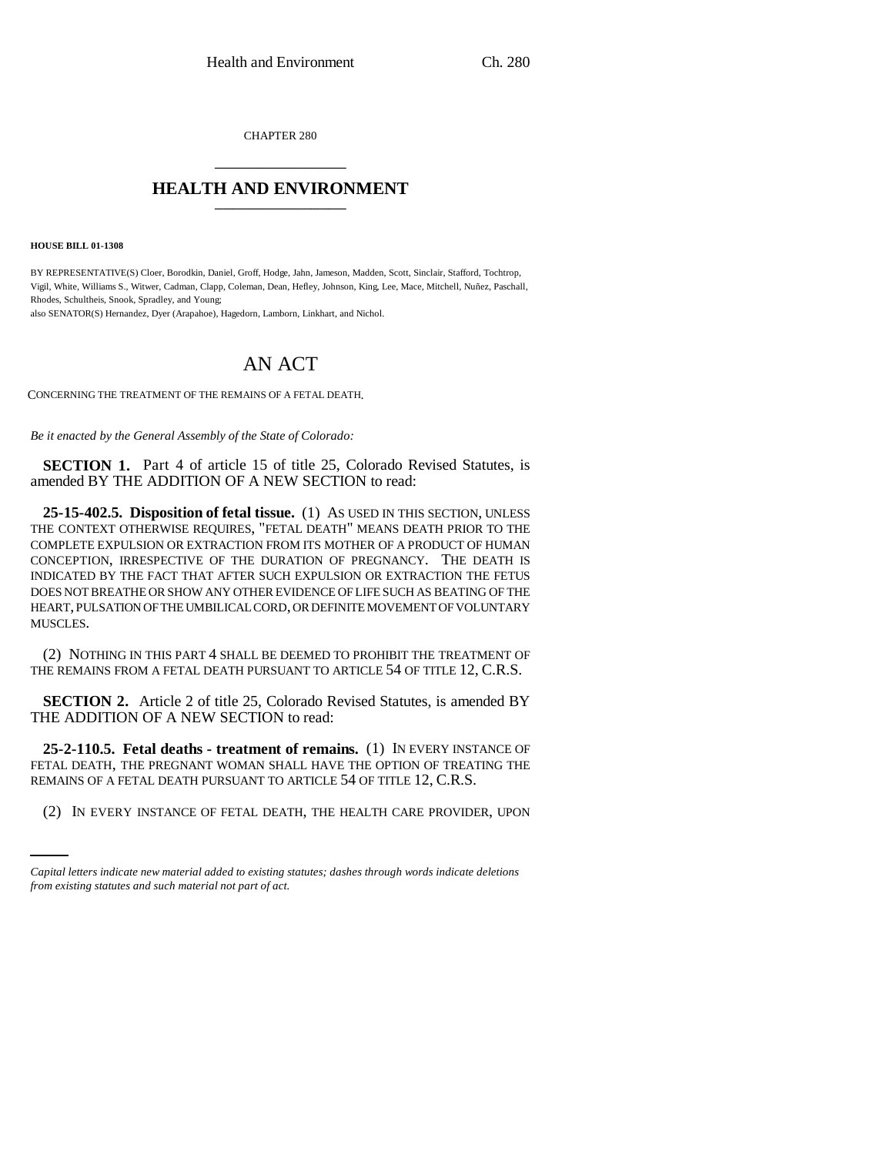CHAPTER 280 \_\_\_\_\_\_\_\_\_\_\_\_\_\_\_

## **HEALTH AND ENVIRONMENT** \_\_\_\_\_\_\_\_\_\_\_\_\_\_\_

**HOUSE BILL 01-1308**

BY REPRESENTATIVE(S) Cloer, Borodkin, Daniel, Groff, Hodge, Jahn, Jameson, Madden, Scott, Sinclair, Stafford, Tochtrop, Vigil, White, Williams S., Witwer, Cadman, Clapp, Coleman, Dean, Hefley, Johnson, King, Lee, Mace, Mitchell, Nuñez, Paschall, Rhodes, Schultheis, Snook, Spradley, and Young;

also SENATOR(S) Hernandez, Dyer (Arapahoe), Hagedorn, Lamborn, Linkhart, and Nichol.

## AN ACT

CONCERNING THE TREATMENT OF THE REMAINS OF A FETAL DEATH.

*Be it enacted by the General Assembly of the State of Colorado:*

**SECTION 1.** Part 4 of article 15 of title 25, Colorado Revised Statutes, is amended BY THE ADDITION OF A NEW SECTION to read:

**25-15-402.5. Disposition of fetal tissue.** (1) AS USED IN THIS SECTION, UNLESS THE CONTEXT OTHERWISE REQUIRES, "FETAL DEATH" MEANS DEATH PRIOR TO THE COMPLETE EXPULSION OR EXTRACTION FROM ITS MOTHER OF A PRODUCT OF HUMAN CONCEPTION, IRRESPECTIVE OF THE DURATION OF PREGNANCY. THE DEATH IS INDICATED BY THE FACT THAT AFTER SUCH EXPULSION OR EXTRACTION THE FETUS DOES NOT BREATHE OR SHOW ANY OTHER EVIDENCE OF LIFE SUCH AS BEATING OF THE HEART, PULSATION OF THE UMBILICAL CORD, OR DEFINITE MOVEMENT OF VOLUNTARY MUSCLES.

(2) NOTHING IN THIS PART 4 SHALL BE DEEMED TO PROHIBIT THE TREATMENT OF THE REMAINS FROM A FETAL DEATH PURSUANT TO ARTICLE 54 OF TITLE 12, C.R.S.

**SECTION 2.** Article 2 of title 25, Colorado Revised Statutes, is amended BY THE ADDITION OF A NEW SECTION to read:

REMAINS OF A FETAL DEATH PURSUANT TO ARTICLE 54 OF TITLE 12, C.R.S. **25-2-110.5. Fetal deaths - treatment of remains.** (1) IN EVERY INSTANCE OF FETAL DEATH, THE PREGNANT WOMAN SHALL HAVE THE OPTION OF TREATING THE

(2) IN EVERY INSTANCE OF FETAL DEATH, THE HEALTH CARE PROVIDER, UPON

*Capital letters indicate new material added to existing statutes; dashes through words indicate deletions from existing statutes and such material not part of act.*